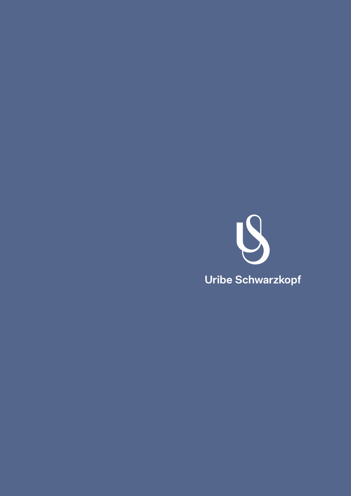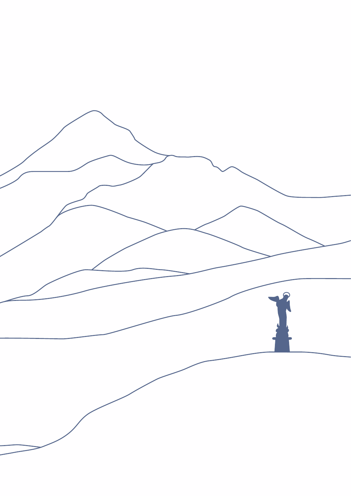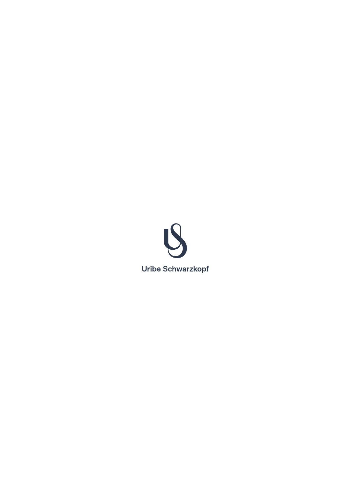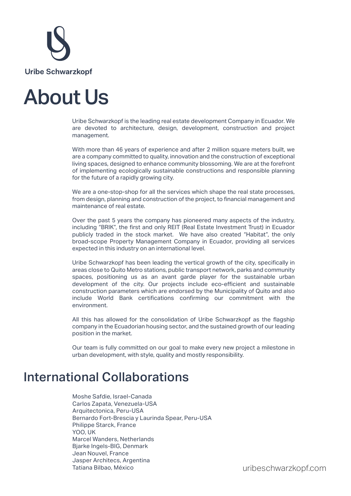

## About Us

Uribe Schwarzkopf is the leading real estate development Company in Ecuador. We are devoted to architecture, design, development, construction and project management.

With more than 46 years of experience and after 2 million square meters built, we are a company committed to quality, innovation and the construction of exceptional living spaces, designed to enhance community blossoming. We are at the forefront of implementing ecologically sustainable constructions and responsible planning for the future of a rapidly growing city.

We are a one-stop-shop for all the services which shape the real state processes. from design, planning and construction of the project, to financial management and maintenance of real estate.

Over the past 5 years the company has pioneered many aspects of the industry, including "BRIK", the first and only REIT (Real Estate Investment Trust) in Ecuador publicly traded in the stock market. We have also created "Habitat", the only broad-scope Property Management Company in Ecuador, providing all services expected in this industry on an international level.

Uribe Schwarzkopf has been leading the vertical growth of the city, specifically in areas close to Quito Metro stations, public transport network, parks and community spaces, positioning us as an avant garde player for the sustainable urban development of the city. Our projects include eco-efficient and sustainable construction parameters which are endorsed by the Municipality of Quito and also include World Bank certifications confirming our commitment with the environment.

All this has allowed for the consolidation of Uribe Schwarzkopf as the flagship company in the Ecuadorian housing sector, and the sustained growth of our leading position in the market.

Our team is fully committed on our goal to make every new project a milestone in urban development, with style, quality and mostly responsibility.

## International Collaborations

Moshe Safdie, Israel-Canada Carlos Zapata, Venezuela-USA Arquitectonica, Peru-USA Bernardo Fort-Brescia y Laurinda Spear, Peru-USA Philippe Starck, France YOO, UK Marcel Wanders, Netherlands Bjarke Ingels-BIG, Denmark Jean Nouvel, France Jasper Architecs, Argentina Tatiana Bilbao, México

uribeschwarzkopf.com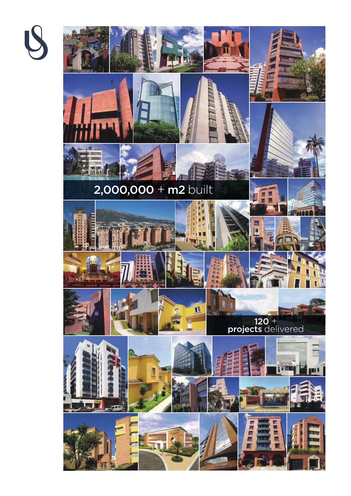

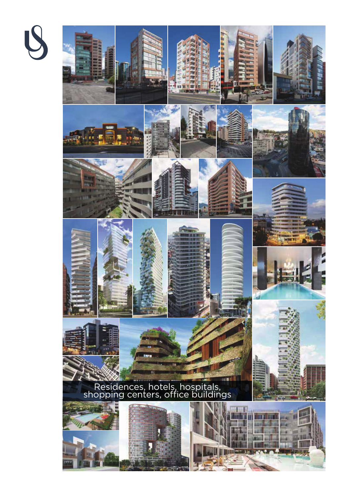

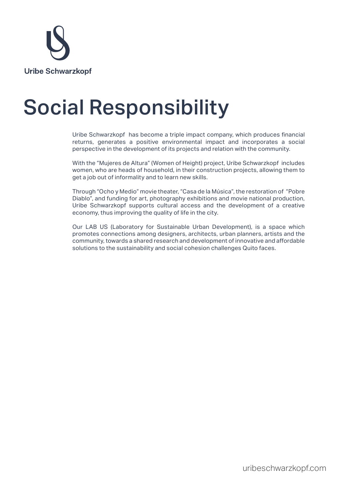

## Social Responsibility

Uribe Schwarzkopf has become a triple impact company, which produces financial returns, generates a positive environmental impact and incorporates a social perspective in the development of its projects and relation with the community.

With the "Mujeres de Altura" (Women of Height) project, Uribe Schwarzkopf includes women, who are heads of household, in their construction projects, allowing them to get a job out of informality and to learn new skills.

Through "Ocho y Medio" movie theater, "Casa de la Música", the restoration of "Pobre Diablo", and funding for art, photography exhibitions and movie national production, Uribe Schwarzkopf supports cultural access and the development of a creative economy, thus improving the quality of life in the city.

Our LAB US (Laboratory for Sustainable Urban Development), is a space which promotes connections among designers, architects, urban planners, artists and the community, towards a shared research and development of innovative and affordable solutions to the sustainability and social cohesion challenges Quito faces.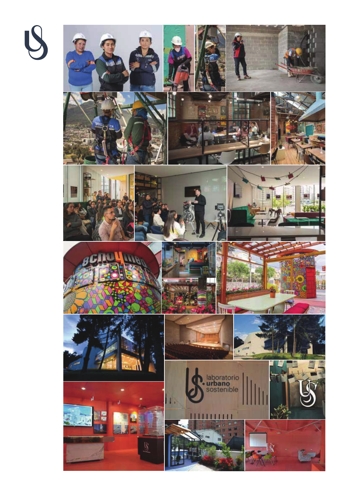

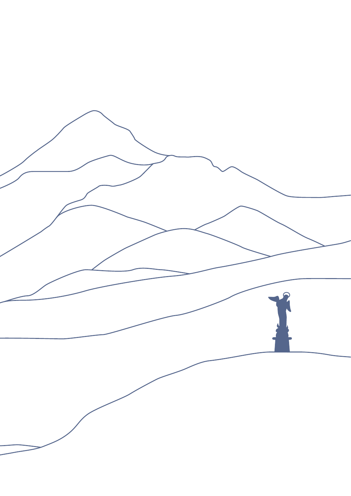